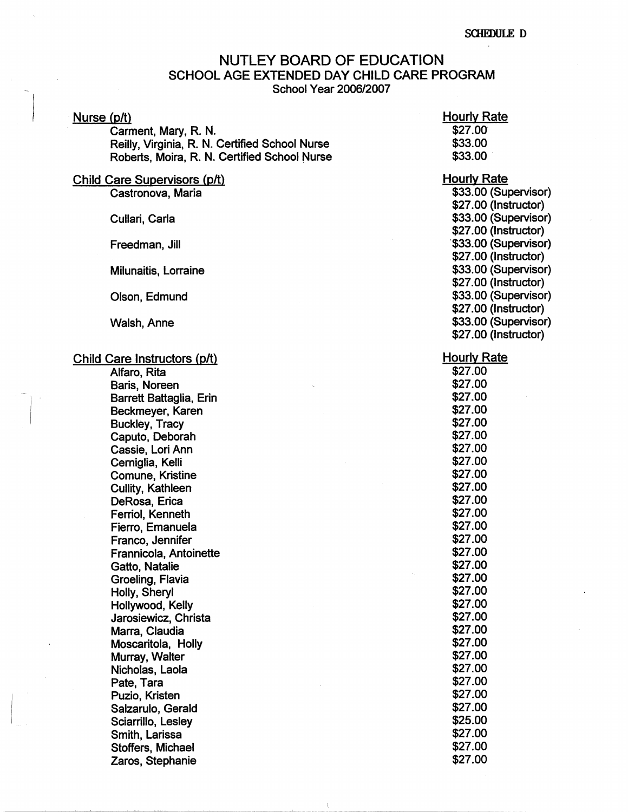# NUTLEY BOARD OF EDUCATION SCHOOL AGE EXTENDED DAY CHILD CARE PROGRAM School Year 2006/2007

\ . --------

# Nurse (p/t)

Carmant, Mary, R. N. Reilly, Virginia, R. N. Certified School Nurse Roberts, Moira, R. N. Certified School Nurse

# Child Care Supervisors (p/t) Castronova, Maria

Cullari, Carla

Freedman, Jill

Milunaitis, Lorraine

Olson, Edmund

Walsh.Anne

Child Care Instructors (p/t)

Alfaro, Rita Baris, Noreen Barrett Battaglia, Erin Beckmeyer, Karen Buckley, Tracy Caputo, Deborah Cassie, Lori Ann Cerniglia, Kelli Comune, Kristine Cullity, Kathleen DeRosa, Erica Ferrio!, Kenneth Fierro, Emanuela Franco, Jennifer Frannicola, Antoinette Gatto, Natalie Groeling, Flavia Holly, Sheryl Hollywood, Kelly Jarosiewicz, Christa **Marra,** Claudia Moscaritola, Holly Murray, Walter Nicholas, Laola Pate, Tara Puzio, Kristen Salzarulo, Gerald Sciarrillo, Lesley Smith, Larissa Stoffers, Michael Zaros, Stephanie

# **Hourly Rate** s21.oo· \$33.00 \$33.00.

#### Hourly Rate

\$33.00 {Supervisor) \$27.00 (Instructor) \$33.00 {Supervisor) \$27.00 {Instructor) \$33.00 (Supervisor) \$27 .00 {Instructor) \$33.00 {Supervisor) \$27.00 (Instructor) \$33.00 (Supervisor) \$27.00 (Instructor) \$33.00 (Supervisor) \$27 .00 (Instructor)

### Hourly Rate

| \$27.00 |
|---------|
| \$27.00 |
| \$27.00 |
| \$27.00 |
| \$27.00 |
| \$27.00 |
| \$27.00 |
| \$27.00 |
| \$27.00 |
| \$27.00 |
| \$27.00 |
| \$27.00 |
| \$27.00 |
| \$27.00 |
| \$27.00 |
| \$27.00 |
| \$27.00 |
| \$27.00 |
| \$27.00 |
| \$27.00 |
| \$27.00 |
| \$27.00 |
| \$27.00 |
| \$27.00 |
| \$27.00 |
| \$27.00 |
| \$27.00 |
| \$25.00 |
| \$27.00 |
| \$27.00 |
| \$27.00 |